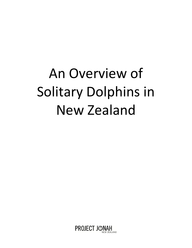# An Overview of Solitary Dolphins in New Zealand

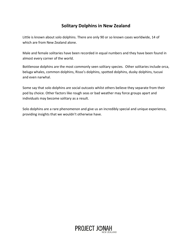## **Solitary Dolphins in New Zealand**

Little is known about solo dolphins. There are only 90 or so known cases worldwide, 14 of which are from New Zealand alone.

Male and female solitaries have been recorded in equal numbers and they have been found in almost every corner of the world.

Bottlenose dolphins are the most commonly seen solitary species. Other solitaries include orca, beluga whales, common dolphins, Risso's dolphins, spotted dolphins, dusky dolphins, tucuxi and even narwhal.

Some say that solo dolphins are social outcasts whilst others believe they separate from their pod by choice. Other factors like rough seas or bad weather may force groups apart and individuals may become solitary as a result.

Solo dolphins are a rare phenomenon and give us an incredibly special and unique experience, providing insights that we wouldn't otherwise have.

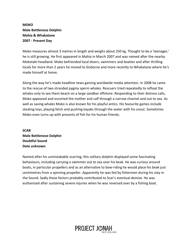#### **MOKO Male Bottlenose Dolphin Mahia & Whakatane 2007 - Present Day**

Moko measures almost 3 metres in length and weighs about 250 kg. Thought to be a 'teenager,' he is still growing. He first appeared in Mahia in March 2007 and was named after the nearby Mokotahi headland. Moko befriended local divers, swimmers and boaties and after thrilling locals for more than 2 years he moved to Gisborne and more recently to Whakatane where he's made himself at home.

Along the way he's made headline news gaining worldwide media attention. In 2008 he came to the rescue of two stranded pygmy sperm whales. Rescuers tried repeatedly to refloat the whales only to see them beach on a large sandbar offshore. Responding to their distress calls, Moko appeared and escorted the mother and calf through a narrow channel and out to sea. As well as saving whales Moko is also known for his playful antics. His favourite games include stealing toys, playing fetch and pushing kayaks through the water with his snout. Sometimes Moko even turns up with presents of fish for his human friends.

**SCAR Male Bottlenose Dolphin Doubtful Sound Date unknown**

Named after his unmistakable scarring, this solitary dolphin displayed some fascinating behaviours, including carrying a swimmer out to sea over his beak. He was curious around boats, in particular propellers and as an alternative to bow-riding he would place his beak just centimetres from a spinning propeller. Apparently he was fed by fishermen during his stay in the Sound. Sadly these factors probably contributed to Scar's eventual demise. He was euthanized after sustaining severe injuries when he was reversed over by a fishing boat.

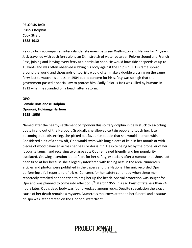**PELORUS JACK Risso's Dolphin Cook Strait 1888-1912**

Pelorus Jack accompanied inter-islander steamers between Wellington and Nelson for 24 years. Jack travelled with each ferry along an 8km stretch of water between Pelorus Sound and French Pass, joining and leaving every ferry at a particular spot. He would bow-ride at speeds of up to 15 knots and was often observed rubbing his body against the ship's hull. His fame spread around the world and thousands of tourists would often make a double crossing on the same ferry just to watch his antics. In 1904 public concern for his safety was so high that the government passed a special law to protect him. Sadly Pelorus Jack was killed by humans in 1912 when he stranded on a beach after a storm.

#### **OPO Female Bottlenose Dolphin**

**Opononi, Hokianga Harbour 1955 -1956**

Named after the nearby settlement of Opononi this solitary dolphin initially stuck to escorting boats in and out of the Harbour. Gradually she allowed certain people to touch her, later becoming quite discerning, she picked out favourite people that she would interact with. Considered a bit of a show off, Opo would swim with long pieces of kelp in her mouth or with pieces of wood balanced across her beak or dorsal fin. Despite being hit by the propeller of her favourite launch and receiving two large cuts Opo remained friendly and her popularity escalated. Growing attention led to fears for her safety, especially after a rumour that shots had been fired at her because she allegedly interfered with fishing nets in the area. Numerous articles and photos were published in the papers and the National film unit recorded Opo performing a full repertoire of tricks. Concerns for her safety continued when three men reportedly attacked her and tried to drag her up the beach. Special protection was sought for Opo and was planned to come into effect on  $8^{th}$  March 1956. In a sad twist of fate less than 24 hours later, Opo's dead body was found wedged among rocks. Despite speculation the exact cause of her death remains a mystery. Numerous mourners attended her funeral and a statue of Opo was later erected on the Opononi waterfront.

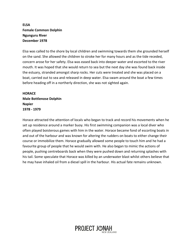#### **ELSA Female Common Dolphin Ngunguru River December 1978**

Elsa was called to the shore by local children and swimming towards them she grounded herself on the sand. She allowed the children to stroke her for many hours and as the tide receded, concern arose for her safety. Elsa was eased back into deeper water and escorted to the river mouth. It was hoped that she would return to sea but the next day she was found back inside the estuary, stranded amongst sharp rocks. Her cuts were treated and she was placed on a boat, carried out to sea and released in deep water. Elsa swam around the boat a few times before heading off in a northerly direction, she was not sighted again.

#### **HORACE Male Bottlenose Dolphin Napier 1978 - 1979**

Horace attracted the attention of locals who began to track and record his movements when he set up residence around a marker buoy. His first swimming companion was a local diver who often played boisterous games with him in the water. Horace became fond of escorting boats in and out of the harbour and was known for altering the rudders on boats to either change their course or immobilize them. Horace gradually allowed some people to touch him and he had a favourite group of people that he would swim with. He also began to mimic the actions of people, pushing centreboards back when they were pushed down and returning splashes with his tail. Some speculate that Horace was killed by an underwater blast whilst others believe that he may have inhaled oil from a diesel spill in the harbour. His actual fate remains unknown.

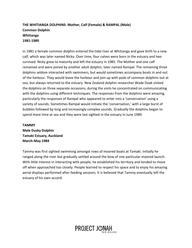#### **THE WHITIANGA DOLPHINS: Mother, Calf (Female) & RAMPAL (Male) Common Dolphin Whitianga 1981-1989**

In 1981 a female common dolphin entered the tidal river at Whitianga and gave birth to a new calf, which was later named Nicky. Over time, four calves were born in the estuary and two survived. Nicky grew to maturity and left the estuary in 1985. The Mother and one calf remained and were joined by another adult dolphin, later named Rampal. The remaining three dolphins seldom interacted with swimmers, but would sometimes accompany boats in and out of the harbour. They would leave the harbour and join up with pods of common dolphins out at sea, but always returned to the estuary. New Zealand dolphin researcher Wade Doak visited the dolphins on three separate occasions, during the visits he concentrated on communicating with the dolphins using different techniques. The responses from the dolphins were amazing, particularly the responses of Rampal who appeared to enter into a 'conversation' using a variety of sounds. Sometimes Rampal would initiate the 'conversation,' with a large burst of bubbles followed by long and increasingly complex sounds. Gradually the dolphins began to spend more time at sea and they were last sighted in the estuary in June 1989.

**TAMMY Male Dusky Dolphin Tamaki Estuary, Auckland March-May 1984** 

Tammy was first sighted swimming amongst rows of moored boats at Tamaki. Initially he ranged along the river but gradually settled around the bow of one particular moored launch. With little interest in interacting with people, he established his territory and tended to move off when approached too closely. People learned to respect his space and to enjoy his amazing aerial displays performed after feeding sessions. It is believed that Tammy eventually left the estuary of his own accord.

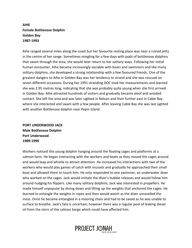#### **AIHE Female Bottlenose Dolphin Golden Bay 1987-1993**

Aihe ranged several miles along the coast but her favourite resting place was near a ruined jetty in the centre of her range. Sometimes mingling for a few days with pods of bottlenose dolphins that swam through the area, she would later return to her solitary ways. Following her initial human encounter, Aihe became increasingly sociable with boats and swimmers and like many solitary dolphins, she developed a strong relationship with a few favoured friends. One of the greatest dangers to Aihe in Golden Bay was her tendency to strand and she was rescued on seven different occasions. During her 1991 stranding DOC took her measurements and learned she was 2.95 metres long, indicating that she was probably quite young when she first arrived in Golden Bay. Aihe attracted hundreds of visitors and gradually became aloof and avoided contact. She left the area and was later sighted in Nelson and then further east in Cable Bay where she interacted and swam with a few people. After leaving Cable Bay she was last sighted with another Bottlenose dolphin near Pepin Island.

**PORT UNDERWOOD JACK Male Bottlenose Dolphin Port Underwood 1989-1990**

Workers noticed this young dolphin hanging around the floating cages and platforms at a salmon farm. He began interacting with the workers and boats as they moved the cages around and would leap and whistle to attract attention. He increased his interactions with two of the workers who would play games of catch with mussels and gradually he approached their small boat and allowed them to touch him. He only responded to one swimmer, an underwater diver who worked on the cages. Jack would imitate the diver's bubble releases and would follow him around nudging his flippers. Like many solitary dolphins, Jack was interested in propellers. He made himself unpopular by diving down and lifting up the weights that anchored the cages. He learned to entangle the weights in ropes and then would watch as the diver unravelled the mess. Once he became entangled in a mooring chain and had to be saved as he was unable to surface to breathe. Jack's fate is uncertain; however there was a regular pool of leaking diesel oil from the stern of the salmon barge which could have affected him.

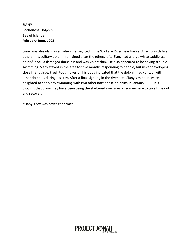#### **SIANY Bottlenose Dolphin Bay of Islands February-June, 1992**

Siany was already injured when first sighted in the Waikare River near Paihia. Arriving with five others, this solitary dolphin remained after the others left. Siany had a large white saddle scar on his\* back, a damaged dorsal fin and was visibly thin. He also appeared to be having trouble swimming. Siany stayed in the area for five months responding to people, but never developing close friendships. Fresh tooth rakes on his body indicated that the dolphin had contact with other dolphins during his stay. After a final sighting in the river area Siany's minders were delighted to see Siany swimming with two other Bottlenose dolphins in January 1994. It's thought that Siany may have been using the sheltered river area as somewhere to take time out and recover.

\*Siany's sex was never confirmed